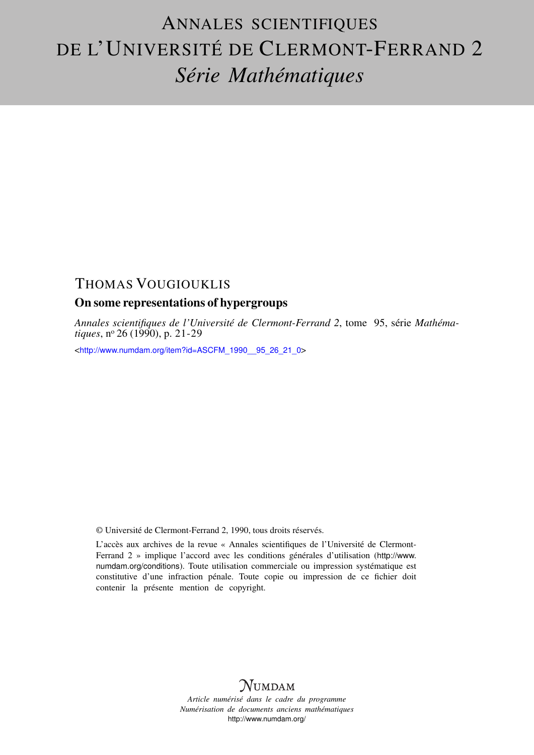# ANNALES SCIENTIFIQUES DE L'UNIVERSITÉ DE CLERMONT-FERRAND 2 *Série Mathématiques*

# THOMAS VOUGIOUKLIS

# On some representations of hypergroups

*Annales scientifiques de l'Université de Clermont-Ferrand 2*, tome 95, série *Mathématiques*, nº 26 (1990), p. 21-29

<[http://www.numdam.org/item?id=ASCFM\\_1990\\_\\_95\\_26\\_21\\_0](http://www.numdam.org/item?id=ASCFM_1990__95_26_21_0)>

© Université de Clermont-Ferrand 2, 1990, tous droits réservés.

L'accès aux archives de la revue « Annales scientifiques de l'Université de Clermont-Ferrand 2 » implique l'accord avec les conditions générales d'utilisation ([http://www.](http://www.numdam.org/conditions) [numdam.org/conditions](http://www.numdam.org/conditions)). Toute utilisation commerciale ou impression systématique est constitutive d'une infraction pénale. Toute copie ou impression de ce fichier doit contenir la présente mention de copyright.

# **NUMDAM**

*Article numérisé dans le cadre du programme Numérisation de documents anciens mathématiques* <http://www.numdam.org/>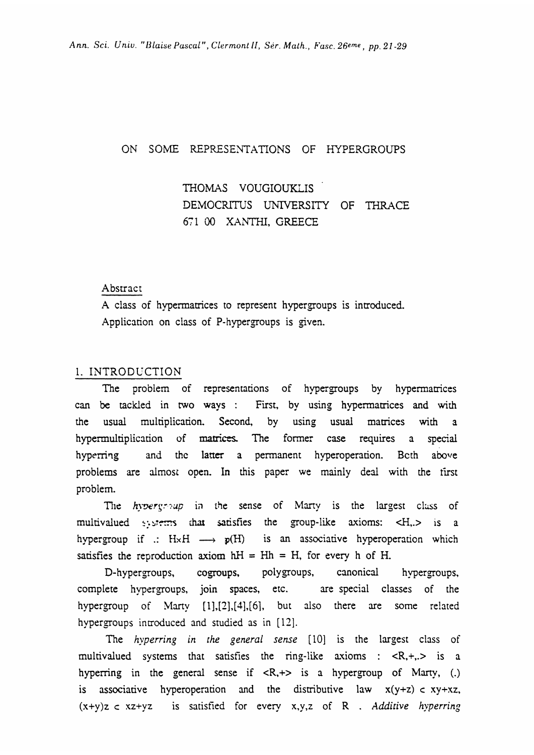#### ON SOME REPRESENTATIONS OF HYPERGROUPS

THOMAS VOUGIOUKLIS DEMOCRITUS UNIVERSITY OF THRACE 671 00 XANTHI, GREECE

#### Abstract

A class of hypermatrices to represent hypergroups is introduced. Application on class of P-hypergroups is given.

#### 1. INTRODUCTION

The problem of representations of hypergroups by hypermatrices can be tackled in two ways : First, by using hypermatrices and with the usual multiplication. Second, by using usual matrices with a hypernnultiplication of matrices. The former case requires a special hyperring and the latter a permanent hyperoperation. Beth above problems are almost open. In this paper we mainly deal with the first problem.

The  $hypergroup$  in the sense of Marty is the largest class of multivalued systems that satisfies the group-like axioms: <H,.> is a hypergroup if .:  $H \times H \longrightarrow p(H)$  is an associative hyperoperation which satisfies the reproduction axiom  $hH = Hh = H$ , for every h of H.

D-hypergroups, cogroups, polygroups, canonical hypergroups, complete hypergroups, join spaces, etc. are special classes of the hypergroup of Marty  $[1]$ , $[2]$ , $[4]$ , $[6]$ , but also there are some related hypergroups introduced and studied as in [12].

The hyperring in the general sense [10] is the largest class of multivalued systems that satisfies the ring-like axioms :  $\langle R, +, \rangle$  is a hyperring in the general sense if  $\langle R, +\rangle$  is a hypergroup of Marty, (.) is associative hyperoperation and the distributive law  $x(y+z)$  c  $xy+xz$ ,  $(x+y)z \lt xz+yz$  is satisfied for every x,y,z of R . Additive hyperring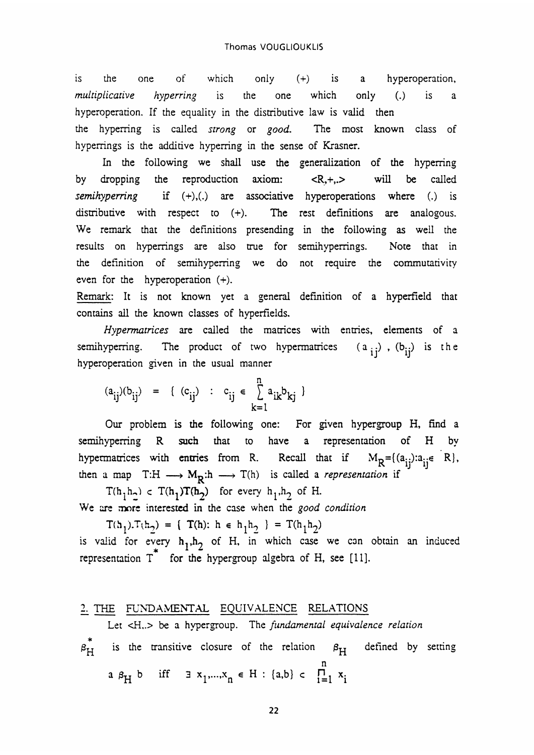is the one of which only (+) is a hyperoperation, multiplicative hyperring is the one which only (.) is a hyperoperation. If the equality in the distributive law is valid then the hyperring is called strong or good. The most known class of hyperrings is the additive hyperring in the sense of Krasner.

In the following we shall use the generalization of the hyperring by dropping the reproduction axiom:  $\langle R, +, \rangle$  will be called semihyperring if (+),(.) are associative hyperoperations where (.) is distributive with respect to (+). The rest definitions are analogous. We remark that the definitions presending in the following as well the results on hyperrings are also true for semihyperrings. Note that in the definition of semihyperring we do not require the commutativity even for the hyperoperation (+).

Remark: It is not known yet a general definition of a hyperfield that contains all the known classes of hyperfields.

Hypermatrices are called the matrices with entries, elements of a semihyperring. The product of two hypermatrices  $(a_{ij})$ ,  $(b_{ij})$  is the hyperoperation given in the usual manner

$$
(a_{ij})(b_{ij}) = \{ (c_{ij}) : c_{ij} \in \sum_{k=1}^{n} a_{ik}b_{kj} \}
$$

Our problem is the following one: For given hypergroup H, find a semihyperring R such that to have a representation of H by hypermatrices with entries from R. Recall that if  $M_R = \{(a_{ij}): a_{ij} \in R\}$ , then a map  $T:H \longrightarrow M_R: h \longrightarrow T(h)$  is called a *representation* if

 $T(h_1h_2)$  c  $T(h_1)T(h_2)$  for every  $h_1, h_2$  of H. We are more interested in the case when the good condition

 $T(h_1).T(h_2) = \{ T(h): h \in h_1 h_2 \} = T(h_1 h_2)$ is valid for every  $h_1, h_2$  of H, in which case we can obtain an induced representation  $T^*$  for the hypergroup algebra of H, see [11].

# 2. THE FUNDAMENTAL EQUIVALENCE RELATIONS

Let <H..> be a hypergroup. The fundamental equivalence relation

$$
\hat{\beta}_{H}
$$
 is the transitive closure of the relation  $\beta_{H}$  defined by setting a  $\beta_{H}$  b iff  $\exists x_1, \ldots, x_n \in H : \{a, b\} \subset \prod_{i=1}^{n} x_i$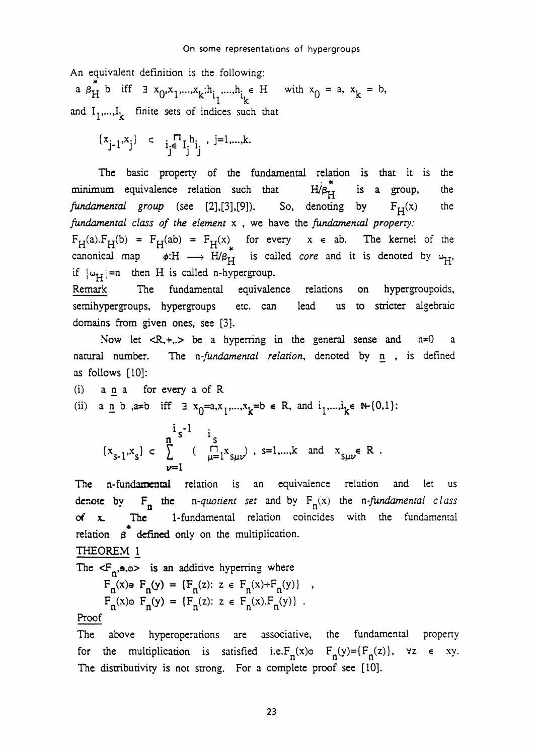An equivalent definition is the following:<br>
a  $\beta_H^*$  b iff  $\exists x_0, x_1, ..., x_k; h_{i_1}, ..., h_{i_k} \in H$  with  $x_0 = a, x_k = b$ , and  $I_1,...,I_k$  finite sets of indices such that

$$
\{x_{j-1},x_j\} \ \subset \ \ \mathbf{i}_j \in \mathbf{I}_j \mathbf{h}_i \ , \ j=1,...,k.
$$

The basic property of the fundamental relation is that it is the num equivalence relation such that  $H/\beta_{H}^{*}$  is a group, the minimum equivalence relation such that  $H/\beta_{LT}$  is a group, the fundamental group (see [2], [3], [9]). So, denoting by  $F_H(x)$  the fundamental class of the element  $x$ , we have the fundamental property:  $F_H(a).F_H(b) = F_H(ab) = F_H(x)$  for every  $x \in ab$ . The kernel of the canonical map  $\phi: H \longrightarrow H/\beta_H$  is called *core* and it is denoted by  $\omega_H$ . if  $|\omega_H|$  =n then H is called n-hypergroup.

Remark The fundamental equivalence relations on hypergroupoids, semihypergroups, hypergroups etc. can lead us to stricter algebraic domains from given ones, see [3].

Now let  $\langle R, +, \rangle$  be a hyperring in the general sense and  $n \neq 0$ natural number. The n-fundamental relation, denoted by n, is defined as follows [10]:

(i) a n a for every a of R (ii) a <u>n</u> b, a=b iff  $\exists x_0=a, x_1,...,x_k=b \in R$ , and  $i_1,...,i_k \in \mathbb{N} \setminus \{0,1\}$ :  $\ddot{i}$   $\ddot{i}$ 

$$
\{x_{s-1}, x_s\} \subset \sum_{\nu=1}^{n} \left( \begin{array}{cc} \Gamma & \text{if } \\ \Gamma & \text{if } \\ \mu = 1 \end{array} \right) \text{, } s = 1, \dots, k \quad \text{and} \quad x_{s\mu\nu} \in \mathbb{R}.
$$

The n-fundamental relation is an equivalence relation and let us denote by  $F_n$  the n-quotient set and by  $F_n(x)$  the n-fundamental class of x. The 1-fundamental relation coincides with the fundamental \* relation  $\beta$  defined only on the multiplication.

THEOREM I

The  $\langle F_n, \bullet, \circ \rangle$  is an additive hyperring where

$$
F_n(x) \oplus F_n(y) = \{F_n(z): z \in F_n(x) + F_n(y)\}
$$
  
\n
$$
F_n(x) \oplus F_n(y) = \{F_n(z): z \in F_n(x) \cdot F_n(y)\}.
$$

#### Proof

The above hyperoperations are associative, the fundamental property for the multiplication is satisfied i.e.  $F_n(x) \circ F_n(y) = {F_n(z)}$ ,  $\forall z \in xy$ . The distributivity is not strong. For a complete proof see [10].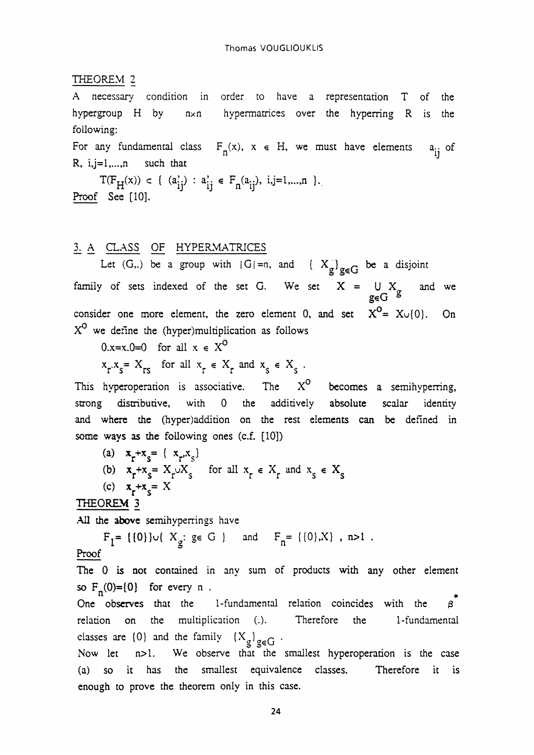#### THEOREM 2

A necessary condition in order to have a representation T of the hypergroup H by nxn hypermatrices over the hyperring R is the following:

For any fundamental class  $F_n(x)$ ,  $x \in H$ , we must have elements  $a_{ij}$  of R,  $i, j=1,...,n$  such that

 $T(F_H(x)) \subset \{ (a_{ij}^i) : a_{ij}^i \in F_n(a_{ij}), i,j=1,...,n \}.$ <br>Proof See [10].

### 3. A CLASS OF HYPERMATRICES

Let (G,.) be a group with  $|G|=n$ , and  $\{X_{\sigma}\}_{\sigma\in\mathbb{G}}$  be a disjoint family of sets indexed of the set G. We set  $X = \bigcup_{g \in G} X_g$ and we g∈G a consider one more element, the zero element 0, and set  $X^0 = X \cup \{0\}$ . On  $X^0$  we define the (hyper)multiplication as follows

0.x=x,0=0 for all  $x \in X^0$ 

 $x_r x_s = X_{rs}$  for all  $x_r \in X_r$  and  $x_s \in X_s$ .

This hyperoperation is associative. The  $X^O$  becomes a semihyperring, strong distributive, with 0 the additively absolute scalar identity and where the (hyper)addition on the rest elements can be defined in some ways as the following ones (c.f. [10])

(a)  $x_r + x_s = {x_r, x_s}$ <br>
(b)  $x_r + x_s = X_r \cup X_s$  for all  $x_r \in X_r$  and  $x_s \in X_s$ (c)  $x_r + x_s = X$ THEOREM 3

All the above semihyperrings have

 $F_1 = \{ {0} \} \cup \{ X_g : g \in G \}$  and  $F_n = \{ {0}, X \}$ , n>1. Proof

The 0 is not contained in any sum of products with any other element so  $F_n(0) = \{0\}$  for every n.

\* One observes that the 1-fundamental relation coincides with the relation on the multiplication (.). Therefore the 1-fundamental classes are  $\{0\}$  and the family

Now let n>1. We observe that the smallest hyperoperation is the case (a) so it has the smallest equivalence classes. Therefore it is enough to prove the theorem only in this case.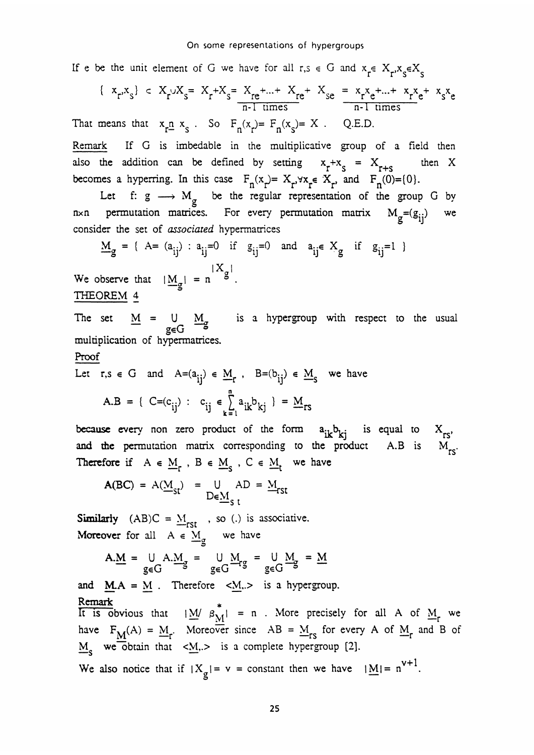If e be the unit element of G we have for all  $r,s \in G$  and  $x_r \in X_r$ ,  $x_s \in X_s$ 

$$
\{x_r, x_s\} \subset X_r \cup X_s = X_r + X_s = \frac{X_{re} + ... + X_{re} + X_{se}}{n-1 \text{ times}} = \frac{x_r x_e + ... + x_r x_e + x_s x_e}{n-1 \text{ times}}
$$
  
means that  $x_r \underline{n} x_s$ . So  $F_n(x_r) = F_n(x_s) = X$ . Q.E.D.

Remark If G is imbedable in the multiplicative group of a field then also the addition can be defined by setting  $x_r+x_s = X_{r+s}$  then X becomes a hyperring. In this case  $F_n(x) = X_r, \forall x_r \in X_r$  and  $F_n(0) = \{0\}.$ 

Let f:  $g \longrightarrow M_g$  be the regular representation of the group G by g  $n \times n$  permutation matrices. For every permutation matrix  $M_g = (g_{ij})$  we consider the set of associated hypermatrices

$$
M_g = \{ A = (a_{ij}) : a_{ij} = 0 \text{ if } g_{ij} = 0 \text{ and } a_{ij} \in X_g \text{ if } g_{ij} = 1 \}
$$

 $M_g = {$ A= (a<sub>ij</sub>) : a<sub>ij</sub>=0 if<br>We observe that  $|\underline{M}_g| = n \begin{bmatrix} X_g \\ S \end{bmatrix}$ . THEOREM 4

The set  $M = U M_g$  is a hypergroup with respect to the usual g∈G − multiplication of hypennatrices.

#### Proof

That

Let 
$$
r, s \in G
$$
 and  $A=(a_{ij}) \in M_r$ ,  $B=(b_{ij}) \in M_s$  we have  
\n
$$
A.B = \{ C=(c_{ij}) : c_{ij} \in \sum_{k=1}^n a_{ik}b_{kj} \} = \underline{M}_{rs}
$$

because every non zero product of the form  $a_{ik}b_{ki}$  is equal to  $X_{rs}$ , and the permutation matrix corresponding to the product  $A.B$  is  $M_{res}$ Therefore if  $A \in \underline{M}_r$ ,  $B \in \underline{M}_s$ ,  $C \in \underline{M}_t$  we have

$$
A(BC) = A(\underline{M}_{st}) = \bigcup_{D \in \underline{M}_{st}} AD = \underline{M}_{rst}
$$

**Similarly**  $(AB)C = M_{rst}$ , so (.) is associative. Moreover for all  $A \in M_{\sigma}$  we have

$$
A.\underline{M} = \bigcup_{g \in G} A.\underline{M}_g = \bigcup_{g \in G} \underline{M}_{rg} = \bigcup_{g \in G} \underline{M}_g = \underline{M}
$$

and  $MA = M$ . Therefore  $\langle M_{\cdot} \rangle$  is a hypergroup. Remark \* It is obvious that  $|\underline{M} \rangle \beta_{\underline{M}}^{\dagger} = n$ . More precisely for all A of  $\underline{M}_{\Gamma}$  we have  $F_{\underline{M}}(A) = \underline{M}_r$ . Moreover since  $AB = \underline{M}_{rs}$  for every A of  $\underline{M}_r$  and B of  $M_s$  we obtain that  $\langle M, \rangle$  is a complete hypergroup [2]. We also notice that if  $|X_g| = v = constant$  then we have  $|M| = n^{v+1}$ .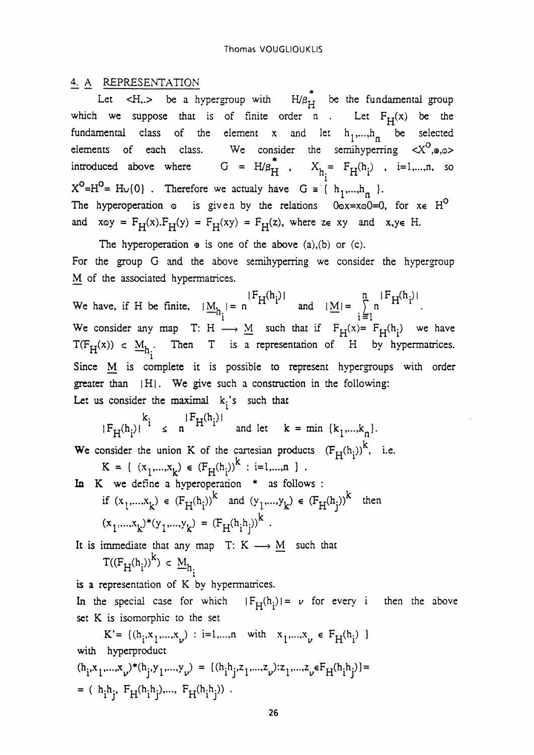### 4. A REPRESENTATION

Let  $\leftarrow$  H, $\rightarrow$  be a hypergroup with  $H/\beta_H^*$  be the fundamental group which we suppose that is of finite order n . Let  $F_H(x)$  be the fundamental class of the element x and let  $h_1,...,h_n$  be selected elements of each class. We consider the semihyperring introduced above where  $G = H/B_H^*$ ,  $X_{h_i^*} = F_H(h_i)$ , i=1,...,n, so  $X^0=H^0= H\cup \{0\}$ . Therefore we actualy have  $G \cong \{ h_1,...,h_n \}$ . The hyperoperation  $\circ$  is given by the relations  $0\circ x = x\circ 0 = 0$ , for  $x \in H^O$ and  $x \circ y = F_H(x) \cdot F_H(y) = F_H(xy) = F_H(z)$ , where  $z \in xy$  and  $x, y \in H$ .

The hyperoperation  $\theta$  is one of the above (a),(b) or (c). For the group G and the above semihyperring we consider the hypergroup M of the associated hypermatrices.

 $n \mid \mathbf{r}_{\mathbf{r} \mathbf{r}}(\mathbf{h}_1)$ M of the associated hypermatrices.<br>We have, if H be finite,  $|M_{h_i}| = n \frac{|F_H(h_i)|}{|M_i|}$  and  $|\underline{M}| = \sum_{i=1}^n n \frac{|F_H(h_i)|}{|H_i|}$ .  $M_{h_i} = n^{12} H^{(1)}$  and  $|M| = \sum_{i=1}^{n}$ We consider any map T: H  $\longrightarrow$  M such that if  $F_H(x) = F_H(h_i)$  we have  $T(F_H(x)) \subset M_h$ . Then T is a representation of H by hypermatrices. 1 Since M is complete it is possible to represent hypergroups with order greater than  $| H |$ . We give such a construction in the following: Let us consider the maximal  $k_i$ 's such that

 $|F_H(h_i)|^{k_i} \leq n^{|F_H(h_i)|}$  and let  $k = \min \{k_1,...,k_n\}.$ 

We consider the union K of the cartesian products  $(F_H(h_i))^k$ , i.e.<br>  $K = \{ (x_1,...,x_k) \in (F_H(h_i))^k : i=1,...,n \}$ .

In K we define a hyperoperation \* as follows :<br>
if  $(x_1,...,x_k) \in (F_H(h_i))^k$  and  $(y_1,...,y_k) \in (F_H(h_i))^k$  then  $(x_1,...,x_k)^*(y_1,...,y_k) = (F_H(h_i h_i))^k$ .

It is immediate that any map T: K  $\longrightarrow M$  such that  $T((F_H(h_i))^k) \subset M_{h_i}$ 6

is a representation of K by hypermatrices.

In the special case for which  $|F_H(h_i)| = \nu$  for every i then the above set K is isomorphic to the set

 $\mathbf{K}' {=} \{(\mathbf{h}_{\mathbf{i}}^{},{\mathbf{x}}_{1}{,}...{\mathbf{x}}_{\nu}) \; : \; \mathbf{i} {=} 1{,}...{,}\textit{n} \quad \textit{with} \quad \mathbf{x}_{1}{,}...{\mathbf{x}}_{\nu} \; \in \; \mathbf{F}_{\mathbf{H}}(\mathbf{h}_{\mathbf{i}}) \; \; \}$ with hyperproduct $({\bf h_i}.{\bf x_1}.\ldots .{\bf x_{\nu}})^*({\bf h_j}.{\bf y_1}.\ldots .{\bf y_{\nu}})\;=\; \{( {\bf h_i} {\bf h_j}.{\bf z_1}.\ldots .{\bf z_{\nu}}).{\bf z_1}.\ldots .{\bf z_{\nu}} \in {\bf F_H}({\bf h_i} {\bf h_j})\} =$  $=$  ( h<sub>i</sub>h<sub>i</sub>, F<sub>H</sub>(h<sub>i</sub>h<sub>i</sub>),..., F<sub>H</sub>(h<sub>i</sub>h<sub>i</sub>)).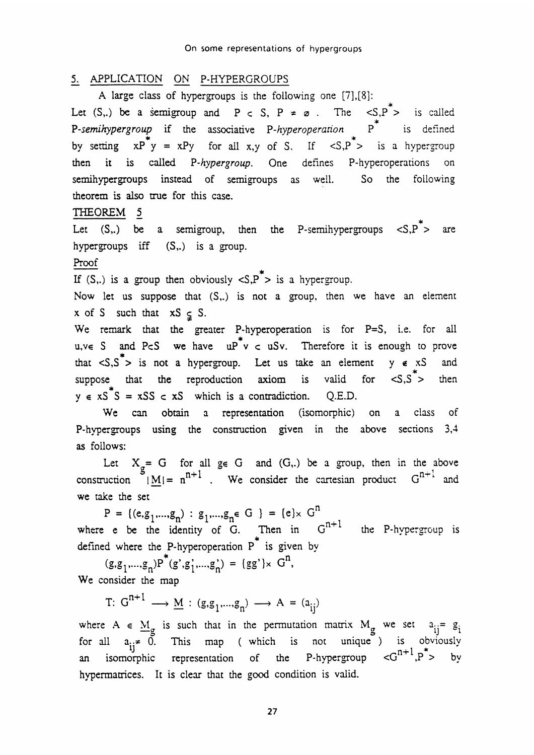# 5. APPLICATION ON P-HYPERGROUPS

A large class of hypergroups is the following one [7],[8]: \*

Let (S,.) be a semigroup and  $P \subset S$ ,  $P \neq \emptyset$ . The  $\langle S, P^* \rangle$  is called P-semihypergroup if the associative P-hyperoperation  $P^*$  is defined by setting  $xP^*y = xPy$  for all x,y of S. If  $\langle S, P^* \rangle$  is a hypergroup then it is called P-hypergroup. One defines P-hyperoperations on semihypergroups instead of semigroups as well. So the following theorem is also true for this case.

# THEOREM 5

Let  $(S, .)$  be a semigroup, then the P-semihypergroups  $\langle S, P^* \rangle$  are hypergroups iff (S<sub>1</sub>.) is a group.<br>Proof<br>*If (S<sub>1</sub>)* is a group ship is in the d

If (S,.) is a group then obviously  $\langle S, P^* \rangle$  is a hypergroup.

Now let us suppose that  $(S_+)$  is not a group, then we have an element  $x$  of S such that  $xS \subseteq S$ .

We remark that the greater P-hyperoperation is for  $P=S$ , i.e. for all  $u, v \in S$  and PcS we have  $uP^*v$  c uSv. Therefore it is enough to prove that  $\langle S, S^* \rangle$  is not a hypergroup. Let us take an element  $y \notin xS$  and suppose that the reproduction axiom is valid for  $\langle S, S^* \rangle$  then  $y \in xS^*S = xSS \subset xS$  which is a contradiction. Q.E.D.

We can obtain a representation (isomorphic) on a class of P-hypergroups using the construction given in the above sections 3,4 as follows:

Let  $X_g = G$  for all  $g \in G$  and  $(G,.)$  be a group, then in the above<br>uction  $|M| = n^{n+1}$  We consider the cartesian product  $G^{n+1}$  and as follows:<br>
Let  $X_g = G$  for all  $g \in G$  and  $(G,.)$  be a group, then in the above<br>
construction  $|M| = n^{n+1}$ . We consider the cartesian product  $G^{n+1}$  and we take the set

 $P = \{(e, g_1, ..., g_n) : g_1, ..., g_n \in G\} = \{e\} \times G^n$ <br>where e be the identity of G. Then in  $G^{n+1}$  the P-hypergroup is defined where the P-hyperoperation P<sup>\*</sup> is given by<br>  $(g, g_1, ..., g_n)P^*(g', g'_1, ..., g'_n) = {gg'} \times G^n$ ,

We consider the map

where  $A \in M_g$  is such that in the permutation matrix  $M_g$  we set  $a_{ij} = g_{ij}$ for all  $a_{ij} \neq 0$ . This map (which is not unique) is obviously  $a_{ij} \neq 0$ . where  $A \in M_g$  is such that in the permutation matrix  $M_g$  we set  $a_{ij} = g_i$  for all  $a_{ij} \neq 0$ . This map (which is not unique) is obviously an isomorphic representation of the P-hypergroup  $\langle G^{n+1}, P^* \rangle$  by hypermatrices. It is clear that the good condition is valid.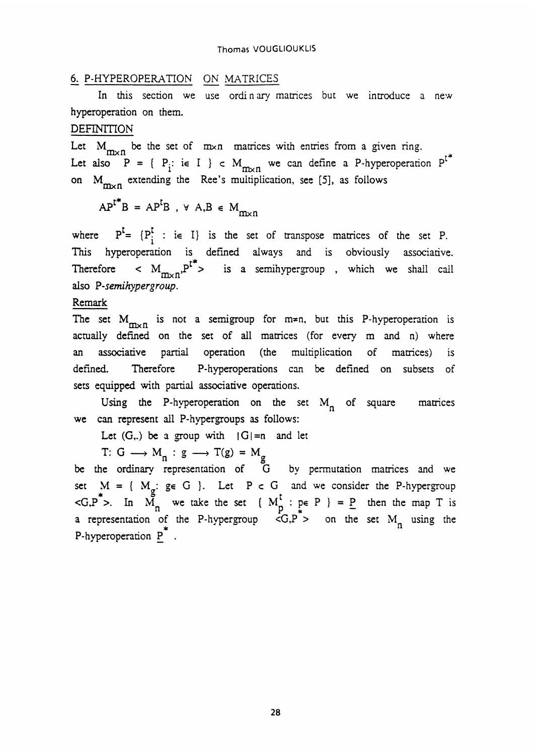# 6. P-HYPEROPERATTON ON MATRICES

In this section we use ordinary matrices but we introduce a new hyperoperation on them.

#### **DEFINITION**

Let  $M_{m \times n}$  be the set of  $m \times n$  matrices with entries from a given ring. Let also  $P = \{ P_i : i \in I \} \subset M_{m \times n}$  we can define a P-hyperoperation  $P^{t*}$ on  $M_{\text{max}}$  extending the Ree's multiplication, see [5], as follows

 $AP^{t*}B = AP^{t}B$ ,  $\forall A,B \in M_{m \times n}$ 

where  $P^{\mathsf{L}} = \{P_i^{\mathsf{L}} : i \in I\}$  is the set of transpose matrices of the set P. This hyperoperation is defined always and is obviously associative. Therefore  $\langle M_{m \times n} P^{t^*}\rangle$  is a semihypergroup , which we shall call also P-semihypergroup.

Remark

The set  $M_{m \times n}$  is not a semigroup for  $m \neq n$ , but this P-hyperoperation is actually defined on the set of all matrices (for every m and n) where an associative partial operation (the multiplication of matrices) is defined. Therefore P-hyperoperations can be defined on subsets of sets equipped with partial associative operations.

Using the P-hyperoperation on the set  $M_n$  of square matrices we can represent all P-hypergroups as follows:

Let  $(G,.)$  be a group with  $|G|=n$  and let

T: G  $\longrightarrow$  M<sub>n</sub> : g  $\longrightarrow$  T(g) = M<sub>g</sub>

be the ordinary representation of  $\overline{G}$  by permutation matrices and we set  $M = \{M_g : g \in G\}$ . Let  $P \subset G$  and we consider the P-hypergroup  $\langle G, P \rangle$ . In  $M_n$  we take the set  $\{ M_P^{\bullet} : p \in P \} = P$  then the map T is a representation of the P-hypergroup  $\langle G, P \rangle$  on the set  $M_n$  using the P-hyperoperation  $\underline{P}^*$ .